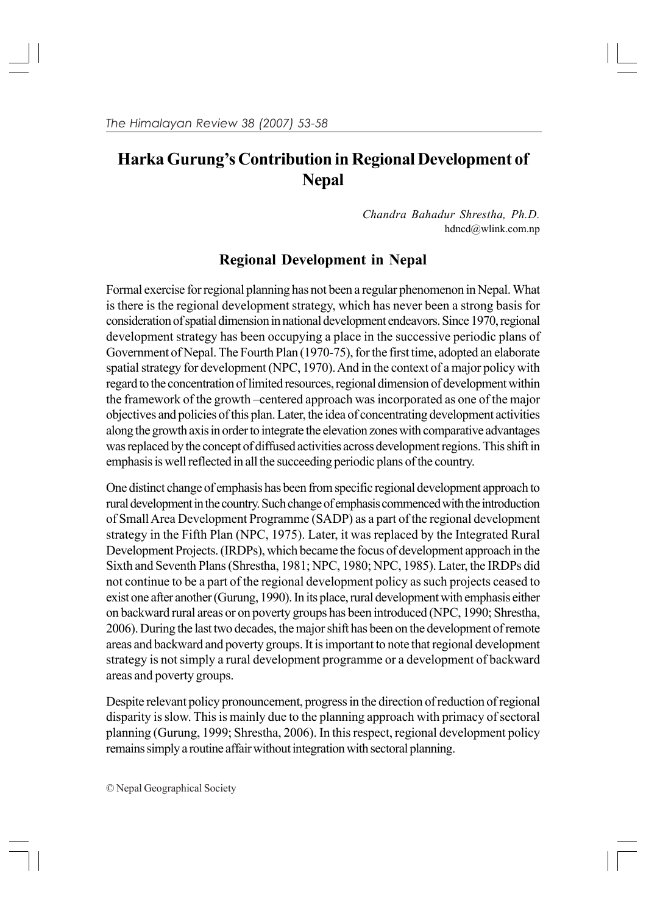# **Harka Gurung's Contribution in Regional Development of Nepal**

*Chandra Bahadur Shrestha, Ph.D.* hdncd@wlink.com.np

## **Regional Development in Nepal**

Formal exercise for regional planning has not been a regular phenomenon in Nepal. What is there is the regional development strategy, which has never been a strong basis for consideration of spatial dimension in national development endeavors. Since 1970, regional development strategy has been occupying a place in the successive periodic plans of Government of Nepal. The Fourth Plan (1970-75), for the first time, adopted an elaborate spatial strategy for development (NPC, 1970). And in the context of a major policy with regard to the concentration of limited resources, regional dimension of development within the framework of the growth –centered approach was incorporated as one of the major objectives and policies of this plan. Later, the idea of concentrating development activities along the growth axis in order to integrate the elevation zones with comparative advantages was replaced by the concept of diffused activities across development regions. This shift in emphasis is well reflected in all the succeeding periodic plans of the country.

One distinct change of emphasis has been from specific regional development approach to rural development in the country. Such change of emphasis commenced with the introduction of Small Area Development Programme (SADP) as a part of the regional development strategy in the Fifth Plan (NPC, 1975). Later, it was replaced by the Integrated Rural Development Projects. (IRDPs), which became the focus of development approach in the Sixth and Seventh Plans (Shrestha, 1981; NPC, 1980; NPC, 1985). Later, the IRDPs did not continue to be a part of the regional development policy as such projects ceased to exist one after another (Gurung, 1990). In its place, rural development with emphasis either on backward rural areas or on poverty groups has been introduced (NPC, 1990; Shrestha, 2006). During the last two decades, the major shift has been on the development of remote areas and backward and poverty groups. It is important to note that regional development strategy is not simply a rural development programme or a development of backward areas and poverty groups.

Despite relevant policy pronouncement, progress in the direction of reduction of regional disparity is slow. This is mainly due to the planning approach with primacy of sectoral planning (Gurung, 1999; Shrestha, 2006). In this respect, regional development policy remains simply a routine affair without integration with sectoral planning.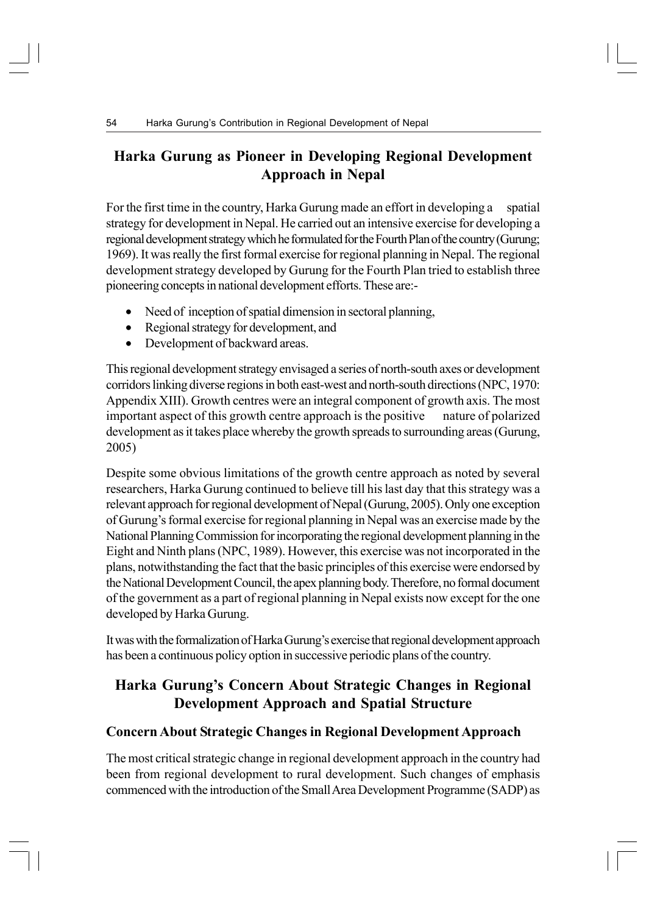### **Harka Gurung as Pioneer in Developing Regional Development Approach in Nepal**

For the first time in the country, Harka Gurung made an effort in developing a spatial strategy for development in Nepal. He carried out an intensive exercise for developing a regional development strategy which he formulated for the Fourth Plan of the country (Gurung; 1969). It was really the first formal exercise for regional planning in Nepal. The regional development strategy developed by Gurung for the Fourth Plan tried to establish three pioneering concepts in national development efforts. These are:-

- Need of inception of spatial dimension in sectoral planning,
- Regional strategy for development, and
- Development of backward areas.

This regional development strategy envisaged a series of north-south axes or development corridors linking diverse regions in both east-west and north-south directions (NPC, 1970: Appendix XIII). Growth centres were an integral component of growth axis. The most important aspect of this growth centre approach is the positive nature of polarized development as it takes place whereby the growth spreads to surrounding areas (Gurung, 2005)

Despite some obvious limitations of the growth centre approach as noted by several researchers, Harka Gurung continued to believe till his last day that this strategy was a relevant approach for regional development of Nepal (Gurung, 2005). Only one exception of Gurung's formal exercise for regional planning in Nepal was an exercise made by the National Planning Commission for incorporating the regional development planning in the Eight and Ninth plans (NPC, 1989). However, this exercise was not incorporated in the plans, notwithstanding the fact that the basic principles of this exercise were endorsed by the National Development Council, the apex planning body. Therefore, no formal document of the government as a part of regional planning in Nepal exists now except for the one developed by Harka Gurung.

It was with the formalization of Harka Gurung's exercise that regional development approach has been a continuous policy option in successive periodic plans of the country.

### **Harka Gurung's Concern About Strategic Changes in Regional Development Approach and Spatial Structure**

### **Concern About Strategic Changes in Regional Development Approach**

The most critical strategic change in regional development approach in the country had been from regional development to rural development. Such changes of emphasis commenced with the introduction of the Small Area Development Programme (SADP) as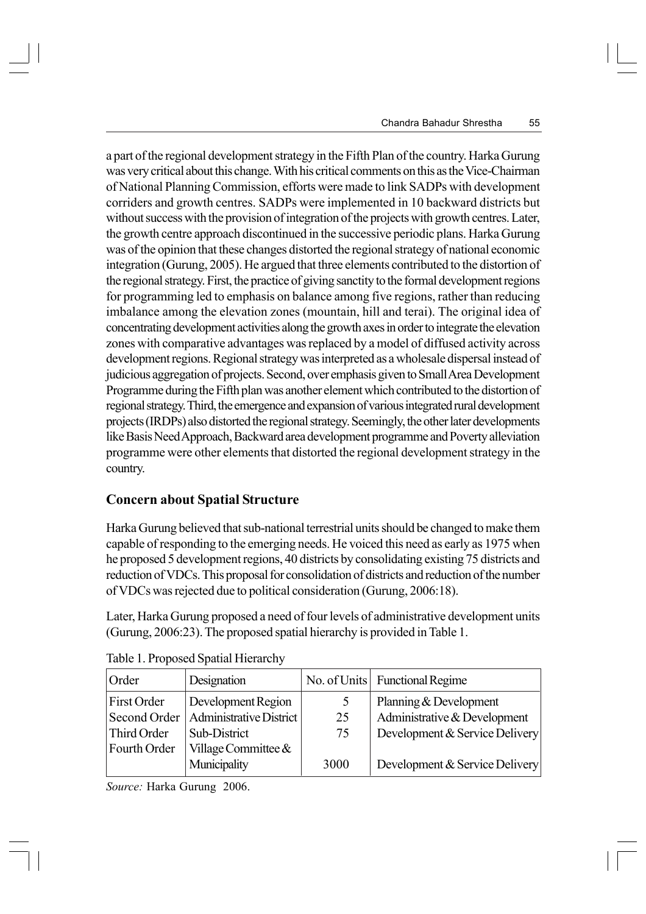a part of the regional development strategy in the Fifth Plan of the country. Harka Gurung was very critical about this change. With his critical comments on this as the Vice-Chairman of National Planning Commission, efforts were made to link SADPs with development corriders and growth centres. SADPs were implemented in 10 backward districts but without success with the provision of integration of the projects with growth centres. Later, the growth centre approach discontinued in the successive periodic plans. Harka Gurung was of the opinion that these changes distorted the regional strategy of national economic integration (Gurung, 2005). He argued that three elements contributed to the distortion of the regional strategy. First, the practice of giving sanctity to the formal development regions for programming led to emphasis on balance among five regions, rather than reducing imbalance among the elevation zones (mountain, hill and terai). The original idea of concentrating development activities along the growth axes in order to integrate the elevation zones with comparative advantages was replaced by a model of diffused activity across development regions. Regional strategy was interpreted as a wholesale dispersal instead of judicious aggregation of projects. Second, over emphasis given to Small Area Development Programme during the Fifth plan was another element which contributed to the distortion of regional strategy. Third, the emergence and expansion of various integrated rural development projects (IRDPs) also distorted the regional strategy. Seemingly, the other later developments like Basis Need Approach, Backward area development programme and Poverty alleviation programme were other elements that distorted the regional development strategy in the country.

### **Concern about Spatial Structure**

Harka Gurung believed that sub-national terrestrial units should be changed to make them capable of responding to the emerging needs. He voiced this need as early as 1975 when he proposed 5 development regions, 40 districts by consolidating existing 75 districts and reduction of VDCs. This proposal for consolidation of districts and reduction of the number of VDCs was rejected due to political consideration (Gurung, 2006:18).

Later, Harka Gurung proposed a need of four levels of administrative development units (Gurung, 2006:23). The proposed spatial hierarchy is provided in Table 1.

| Order        | Designation             |      | No. of Units Functional Regime |
|--------------|-------------------------|------|--------------------------------|
| First Order  | Development Region      |      | Planning & Development         |
| Second Order | Administrative District | 25   | Administrative & Development   |
| Third Order  | Sub-District            | 75   | Development & Service Delivery |
| Fourth Order | Village Committee &     |      |                                |
|              | Municipality            | 3000 | Development & Service Delivery |

|  | Table 1. Proposed Spatial Hierarchy |
|--|-------------------------------------|
|  |                                     |

*Source:* Harka Gurung 2006.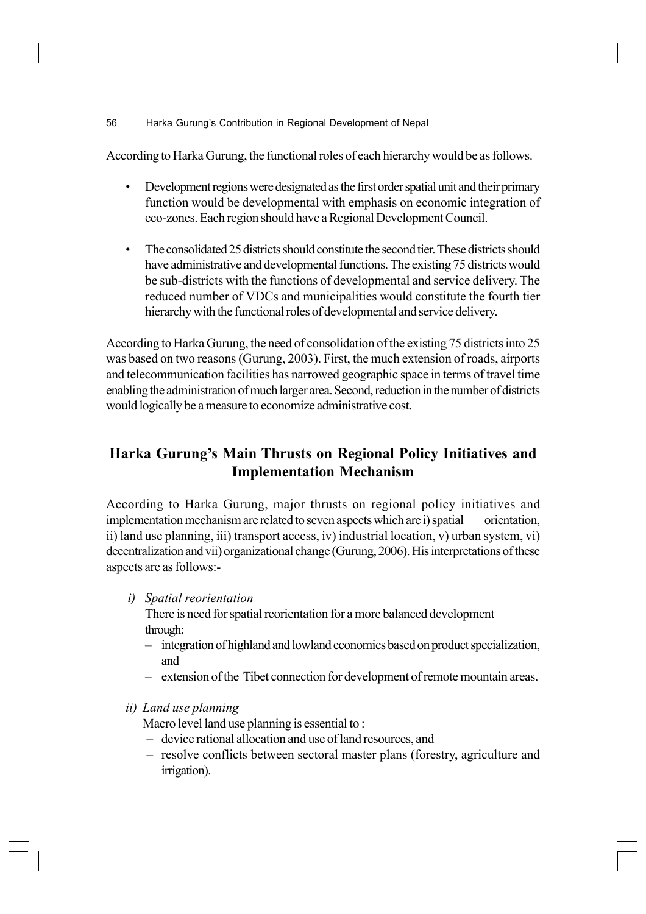According to Harka Gurung, the functional roles of each hierarchy would be as follows.

- Development regions were designated as the first order spatial unit and their primary function would be developmental with emphasis on economic integration of eco-zones. Each region should have a Regional Development Council.
- The consolidated 25 districts should constitute the second tier. These districts should have administrative and developmental functions. The existing 75 districts would be sub-districts with the functions of developmental and service delivery. The reduced number of VDCs and municipalities would constitute the fourth tier hierarchy with the functional roles of developmental and service delivery.

According to Harka Gurung, the need of consolidation of the existing 75 districts into 25 was based on two reasons (Gurung, 2003). First, the much extension of roads, airports and telecommunication facilities has narrowed geographic space in terms of travel time enabling the administration of much larger area. Second, reduction in the number of districts would logically be a measure to economize administrative cost.

### **Harka Gurung's Main Thrusts on Regional Policy Initiatives and Implementation Mechanism**

According to Harka Gurung, major thrusts on regional policy initiatives and implementation mechanism are related to seven aspects which are i) spatial orientation, ii) land use planning, iii) transport access, iv) industrial location, v) urban system, vi) decentralization and vii) organizational change (Gurung, 2006). His interpretations of these aspects are as follows:-

*i) Spatial reorientation*

There is need for spatial reorientation for a more balanced development through:

- integration of highland and lowland economics based on product specialization, and
- extension of the Tibet connection for development of remote mountain areas.
- *ii) Land use planning*

Macro level land use planning is essential to :

- device rational allocation and use of land resources, and
- resolve conflicts between sectoral master plans (forestry, agriculture and irrigation).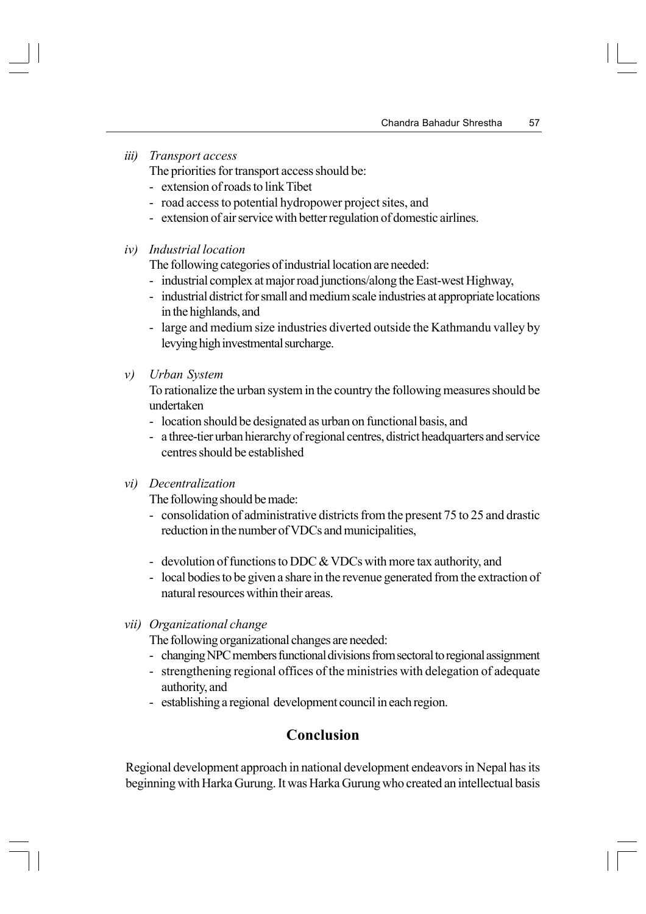*iii) Transport access*

The priorities for transport access should be:

- extension of roads to link Tibet
- road access to potential hydropower project sites, and
- extension of air service with better regulation of domestic airlines.
- *iv) Industrial location*

The following categories of industrial location are needed:

- industrial complex at major road junctions/along the East-west Highway,
- industrial district for small and medium scale industries at appropriate locations in the highlands, and
- large and medium size industries diverted outside the Kathmandu valley by levying high investmental surcharge.
- *v) Urban System*

To rationalize the urban system in the country the following measures should be undertaken

- location should be designated as urban on functional basis, and
- a three-tier urban hierarchy of regional centres, district headquarters and service centres should be established
- *vi) Decentralization*

The following should be made:

- consolidation of administrative districts from the present 75 to 25 and drastic reduction in the number of VDCs and municipalities,
- devolution of functions to DDC & VDCs with more tax authority, and
- local bodies to be given a share in the revenue generated from the extraction of natural resources within their areas.
- *vii) Organizational change*

The following organizational changes are needed:

- changing NPC members functional divisions from sectoral to regional assignment
- strengthening regional offices of the ministries with delegation of adequate authority, and
- establishing a regional development council in each region.

### **Conclusion**

Regional development approach in national development endeavors in Nepal has its beginning with Harka Gurung. It was Harka Gurung who created an intellectual basis